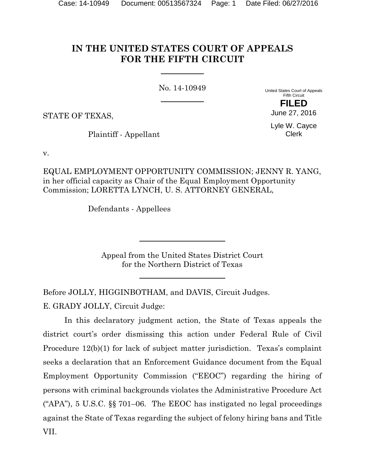# **IN THE UNITED STATES COURT OF APPEALS FOR THE FIFTH CIRCUIT**

No. 14-10949

United States Court of Appeals Fifth Circuit **FILED**

STATE OF TEXAS,

Plaintiff - Appellant

Lyle W. Cayce Clerk

June 27, 2016

v.

EQUAL EMPLOYMENT OPPORTUNITY COMMISSION; JENNY R. YANG, in her official capacity as Chair of the Equal Employment Opportunity Commission; LORETTA LYNCH, U. S. ATTORNEY GENERAL,

Defendants - Appellees

Appeal from the United States District Court for the Northern District of Texas

Before JOLLY, HIGGINBOTHAM, and DAVIS, Circuit Judges.

E. GRADY JOLLY, Circuit Judge:

In this declaratory judgment action, the State of Texas appeals the district court's order dismissing this action under Federal Rule of Civil Procedure 12(b)(1) for lack of subject matter jurisdiction. Texas's complaint seeks a declaration that an Enforcement Guidance document from the Equal Employment Opportunity Commission ("EEOC") regarding the hiring of persons with criminal backgrounds violates the Administrative Procedure Act ("APA"), 5 U.S.C. §§ 701–06. The EEOC has instigated no legal proceedings against the State of Texas regarding the subject of felony hiring bans and Title VII.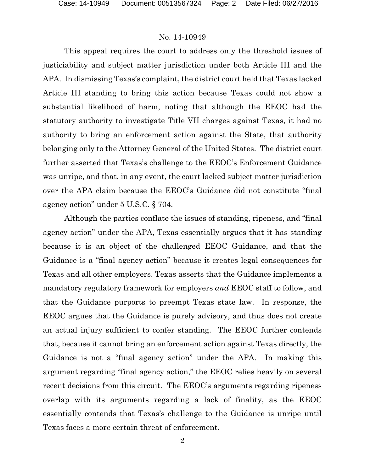This appeal requires the court to address only the threshold issues of justiciability and subject matter jurisdiction under both Article III and the APA. In dismissing Texas's complaint, the district court held that Texas lacked Article III standing to bring this action because Texas could not show a substantial likelihood of harm, noting that although the EEOC had the statutory authority to investigate Title VII charges against Texas, it had no authority to bring an enforcement action against the State, that authority belonging only to the Attorney General of the United States. The district court further asserted that Texas's challenge to the EEOC's Enforcement Guidance was unripe, and that, in any event, the court lacked subject matter jurisdiction over the APA claim because the EEOC's Guidance did not constitute "final agency action" under 5 U.S.C. § 704.

Although the parties conflate the issues of standing, ripeness, and "final agency action" under the APA, Texas essentially argues that it has standing because it is an object of the challenged EEOC Guidance, and that the Guidance is a "final agency action" because it creates legal consequences for Texas and all other employers. Texas asserts that the Guidance implements a mandatory regulatory framework for employers *and* EEOC staff to follow, and that the Guidance purports to preempt Texas state law. In response, the EEOC argues that the Guidance is purely advisory, and thus does not create an actual injury sufficient to confer standing. The EEOC further contends that, because it cannot bring an enforcement action against Texas directly, the Guidance is not a "final agency action" under the APA. In making this argument regarding "final agency action," the EEOC relies heavily on several recent decisions from this circuit. The EEOC's arguments regarding ripeness overlap with its arguments regarding a lack of finality, as the EEOC essentially contends that Texas's challenge to the Guidance is unripe until Texas faces a more certain threat of enforcement.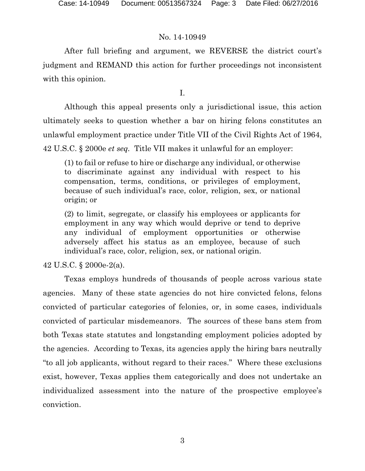After full briefing and argument, we REVERSE the district court's judgment and REMAND this action for further proceedings not inconsistent with this opinion.

I.

Although this appeal presents only a jurisdictional issue, this action ultimately seeks to question whether a bar on hiring felons constitutes an unlawful employment practice under Title VII of the Civil Rights Act of 1964, 42 U.S.C. § 2000e *et seq.* Title VII makes it unlawful for an employer:

(1) to fail or refuse to hire or discharge any individual, or otherwise to discriminate against any individual with respect to his compensation, terms, conditions, or privileges of employment, because of such individual's race, color, religion, sex, or national origin; or

(2) to limit, segregate, or classify his employees or applicants for employment in any way which would deprive or tend to deprive any individual of employment opportunities or otherwise adversely affect his status as an employee, because of such individual's race, color, religion, sex, or national origin.

42 U.S.C. § 2000e-2(a).

Texas employs hundreds of thousands of people across various state agencies. Many of these state agencies do not hire convicted felons, felons convicted of particular categories of felonies, or, in some cases, individuals convicted of particular misdemeanors. The sources of these bans stem from both Texas state statutes and longstanding employment policies adopted by the agencies. According to Texas, its agencies apply the hiring bars neutrally "to all job applicants, without regard to their races." Where these exclusions exist, however, Texas applies them categorically and does not undertake an individualized assessment into the nature of the prospective employee's conviction.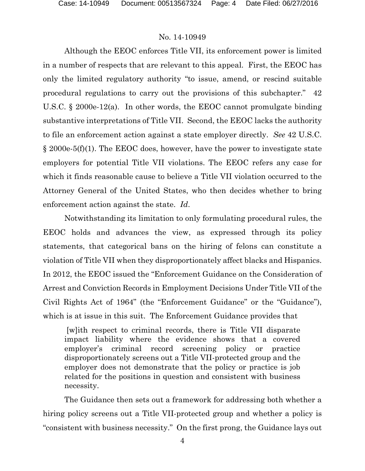Although the EEOC enforces Title VII, its enforcement power is limited in a number of respects that are relevant to this appeal. First, the EEOC has only the limited regulatory authority "to issue, amend, or rescind suitable procedural regulations to carry out the provisions of this subchapter." 42 U.S.C. § 2000e-12(a). In other words, the EEOC cannot promulgate binding substantive interpretations of Title VII. Second, the EEOC lacks the authority to file an enforcement action against a state employer directly. *See* 42 U.S.C. § 2000e-5(f)(1). The EEOC does, however, have the power to investigate state employers for potential Title VII violations. The EEOC refers any case for which it finds reasonable cause to believe a Title VII violation occurred to the Attorney General of the United States, who then decides whether to bring enforcement action against the state. *Id*.

Notwithstanding its limitation to only formulating procedural rules, the EEOC holds and advances the view, as expressed through its policy statements, that categorical bans on the hiring of felons can constitute a violation of Title VII when they disproportionately affect blacks and Hispanics. In 2012, the EEOC issued the "Enforcement Guidance on the Consideration of Arrest and Conviction Records in Employment Decisions Under Title VII of the Civil Rights Act of 1964" (the "Enforcement Guidance" or the "Guidance"), which is at issue in this suit. The Enforcement Guidance provides that

[w]ith respect to criminal records, there is Title VII disparate impact liability where the evidence shows that a covered employer's criminal record screening policy or practice disproportionately screens out a Title VII-protected group and the employer does not demonstrate that the policy or practice is job related for the positions in question and consistent with business necessity.

The Guidance then sets out a framework for addressing both whether a hiring policy screens out a Title VII-protected group and whether a policy is "consistent with business necessity." On the first prong, the Guidance lays out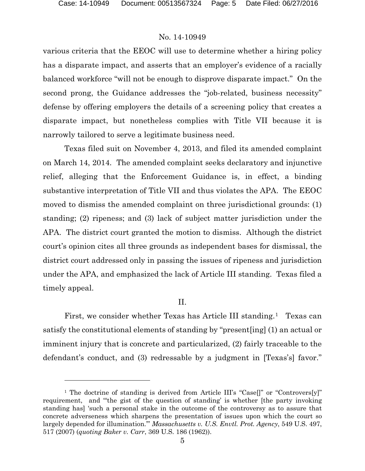### No. 14-10949

various criteria that the EEOC will use to determine whether a hiring policy has a disparate impact, and asserts that an employer's evidence of a racially balanced workforce "will not be enough to disprove disparate impact." On the second prong, the Guidance addresses the "job-related, business necessity" defense by offering employers the details of a screening policy that creates a disparate impact, but nonetheless complies with Title VII because it is narrowly tailored to serve a legitimate business need.

Texas filed suit on November 4, 2013, and filed its amended complaint on March 14, 2014. The amended complaint seeks declaratory and injunctive relief, alleging that the Enforcement Guidance is, in effect, a binding substantive interpretation of Title VII and thus violates the APA. The EEOC moved to dismiss the amended complaint on three jurisdictional grounds: (1) standing; (2) ripeness; and (3) lack of subject matter jurisdiction under the APA. The district court granted the motion to dismiss. Although the district court's opinion cites all three grounds as independent bases for dismissal, the district court addressed only in passing the issues of ripeness and jurisdiction under the APA, and emphasized the lack of Article III standing. Texas filed a timely appeal.

### II.

First, we consider whether Texas has Article III standing.<sup>[1](#page-4-0)</sup> Texas can satisfy the constitutional elements of standing by "present[ing] (1) an actual or imminent injury that is concrete and particularized, (2) fairly traceable to the defendant's conduct, and (3) redressable by a judgment in [Texas's] favor."

<span id="page-4-0"></span><sup>&</sup>lt;sup>1</sup> The doctrine of standing is derived from Article III's "Case<sup>[]"</sup> or "Controvers[y]" requirement, and "'the gist of the question of standing' is whether [the party invoking standing has] 'such a personal stake in the outcome of the controversy as to assure that concrete adverseness which sharpens the presentation of issues upon which the court so largely depended for illumination.'" *Massachusetts v. U.S. Envtl. Prot. Agency*, 549 U.S. 497, 517 (2007) (*quoting Baker v. Carr*, 369 U.S. 186 (1962)).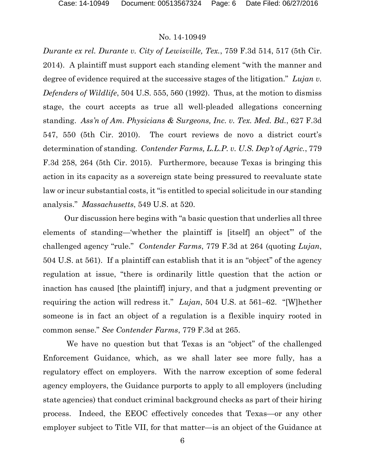*Durante ex rel. Durante v. City of Lewisville, Tex.*, 759 F.3d 514, 517 (5th Cir. 2014). A plaintiff must support each standing element "with the manner and degree of evidence required at the successive stages of the litigation." *Lujan v. Defenders of Wildlife*, 504 U.S. 555, 560 (1992). Thus, at the motion to dismiss stage, the court accepts as true all well-pleaded allegations concerning standing. *Ass'n of Am. Physicians & Surgeons, Inc. v. Tex. Med. Bd.*, 627 F.3d 547, 550 (5th Cir. 2010). The court reviews de novo a district court's determination of standing. *Contender Farms, L.L.P. v. U.S. Dep't of Agric.*, 779 F.3d 258, 264 (5th Cir. 2015). Furthermore, because Texas is bringing this action in its capacity as a sovereign state being pressured to reevaluate state law or incur substantial costs, it "is entitled to special solicitude in our standing analysis." *Massachusetts*, 549 U.S. at 520.

Our discussion here begins with "a basic question that underlies all three elements of standing—'whether the plaintiff is [itself] an object'" of the challenged agency "rule." *Contender Farms*, 779 F.3d at 264 (quoting *Lujan*, 504 U.S. at 561). If a plaintiff can establish that it is an "object" of the agency regulation at issue, "there is ordinarily little question that the action or inaction has caused [the plaintiff] injury, and that a judgment preventing or requiring the action will redress it." *Lujan*, 504 U.S. at 561–62. "[W]hether someone is in fact an object of a regulation is a flexible inquiry rooted in common sense." *See Contender Farms*, 779 F.3d at 265.

We have no question but that Texas is an "object" of the challenged Enforcement Guidance, which, as we shall later see more fully, has a regulatory effect on employers. With the narrow exception of some federal agency employers, the Guidance purports to apply to all employers (including state agencies) that conduct criminal background checks as part of their hiring process. Indeed, the EEOC effectively concedes that Texas—or any other employer subject to Title VII, for that matter—is an object of the Guidance at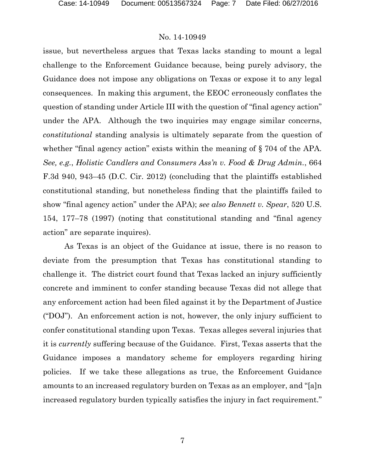issue, but nevertheless argues that Texas lacks standing to mount a legal challenge to the Enforcement Guidance because, being purely advisory, the Guidance does not impose any obligations on Texas or expose it to any legal consequences. In making this argument, the EEOC erroneously conflates the question of standing under Article III with the question of "final agency action" under the APA. Although the two inquiries may engage similar concerns, *constitutional* standing analysis is ultimately separate from the question of whether "final agency action" exists within the meaning of § 704 of the APA. *See, e.g.*, *Holistic Candlers and Consumers Ass'n v. Food & Drug Admin.*, 664 F.3d 940, 943–45 (D.C. Cir. 2012) (concluding that the plaintiffs established constitutional standing, but nonetheless finding that the plaintiffs failed to show "final agency action" under the APA); *see also Bennett v. Spear*, 520 U.S. 154, 177–78 (1997) (noting that constitutional standing and "final agency action" are separate inquires).

As Texas is an object of the Guidance at issue, there is no reason to deviate from the presumption that Texas has constitutional standing to challenge it. The district court found that Texas lacked an injury sufficiently concrete and imminent to confer standing because Texas did not allege that any enforcement action had been filed against it by the Department of Justice ("DOJ"). An enforcement action is not, however, the only injury sufficient to confer constitutional standing upon Texas. Texas alleges several injuries that it is *currently* suffering because of the Guidance. First, Texas asserts that the Guidance imposes a mandatory scheme for employers regarding hiring policies. If we take these allegations as true, the Enforcement Guidance amounts to an increased regulatory burden on Texas as an employer, and "[a]n increased regulatory burden typically satisfies the injury in fact requirement."

7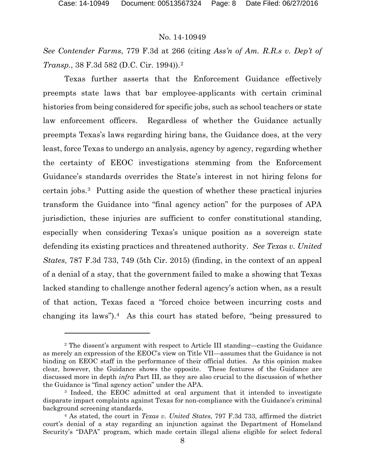#### No. 14-10949

*See Contender Farms*, 779 F.3d at 266 (citing *Ass'n of Am. R.R.s v. Dep't of Transp.*, 38 F.3d 582 (D.C. Cir. 1994)).[2](#page-7-0)

Texas further asserts that the Enforcement Guidance effectively preempts state laws that bar employee-applicants with certain criminal histories from being considered for specific jobs, such as school teachers or state law enforcement officers. Regardless of whether the Guidance actually preempts Texas's laws regarding hiring bans, the Guidance does, at the very least, force Texas to undergo an analysis, agency by agency, regarding whether the certainty of EEOC investigations stemming from the Enforcement Guidance's standards overrides the State's interest in not hiring felons for certain jobs.[3](#page-7-1) Putting aside the question of whether these practical injuries transform the Guidance into "final agency action" for the purposes of APA jurisdiction, these injuries are sufficient to confer constitutional standing, especially when considering Texas's unique position as a sovereign state defending its existing practices and threatened authority. *See Texas v. United States*, 787 F.3d 733, 749 (5th Cir. 2015) (finding, in the context of an appeal of a denial of a stay, that the government failed to make a showing that Texas lacked standing to challenge another federal agency's action when, as a result of that action, Texas faced a "forced choice between incurring costs and changing its laws").<sup>4</sup> As this court has stated before, "being pressured to

<span id="page-7-0"></span><sup>2</sup> The dissent's argument with respect to Article III standing—casting the Guidance as merely an expression of the EEOC's view on Title VII—assumes that the Guidance is not binding on EEOC staff in the performance of their official duties. As this opinion makes clear, however, the Guidance shows the opposite. These features of the Guidance are discussed more in depth *infra* Part III, as they are also crucial to the discussion of whether the Guidance is "final agency action" under the APA.

<span id="page-7-1"></span><sup>3</sup> Indeed, the EEOC admitted at oral argument that it intended to investigate disparate impact complaints against Texas for non-compliance with the Guidance's criminal background screening standards.

<span id="page-7-2"></span><sup>4</sup> As stated, the court in *Texas v. United States*, 797 F.3d 733, affirmed the district court's denial of a stay regarding an injunction against the Department of Homeland Security's "DAPA" program, which made certain illegal aliens eligible for select federal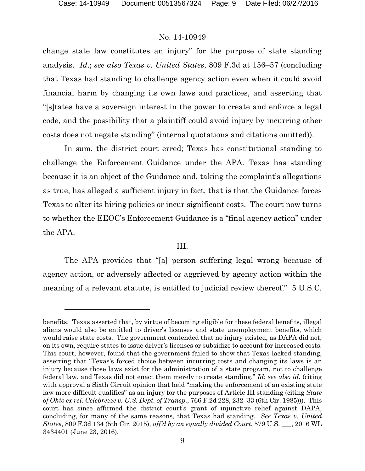#### No. 14-10949

change state law constitutes an injury" for the purpose of state standing analysis. *Id*.; *see also Texas v. United States*, 809 F.3d at 156–57 (concluding that Texas had standing to challenge agency action even when it could avoid financial harm by changing its own laws and practices, and asserting that "[s]tates have a sovereign interest in the power to create and enforce a legal code, and the possibility that a plaintiff could avoid injury by incurring other costs does not negate standing" (internal quotations and citations omitted)).

In sum, the district court erred; Texas has constitutional standing to challenge the Enforcement Guidance under the APA. Texas has standing because it is an object of the Guidance and, taking the complaint's allegations as true, has alleged a sufficient injury in fact, that is that the Guidance forces Texas to alter its hiring policies or incur significant costs. The court now turns to whether the EEOC's Enforcement Guidance is a "final agency action" under the APA.

#### III.

The APA provides that "[a] person suffering legal wrong because of agency action, or adversely affected or aggrieved by agency action within the meaning of a relevant statute, is entitled to judicial review thereof." 5 U.S.C.

benefits. Texas asserted that, by virtue of becoming eligible for these federal benefits, illegal aliens would also be entitled to driver's licenses and state unemployment benefits, which would raise state costs. The government contended that no injury existed, as DAPA did not, on its own, require states to issue driver's licenses or subsidize to account for increased costs. This court, however, found that the government failed to show that Texas lacked standing, asserting that "Texas's forced choice between incurring costs and changing its laws is an injury because those laws exist for the administration of a state program, not to challenge federal law, and Texas did not enact them merely to create standing." *Id*; *see also id*. (citing with approval a Sixth Circuit opinion that held "making the enforcement of an existing state law more difficult qualifies" as an injury for the purposes of Article III standing (citing *State of Ohio ex rel. Celebrezze v. U.S. Dept. of Transp*., 766 F.2d 228, 232–33 (6th Cir. 1985))). This court has since affirmed the district court's grant of injunctive relief against DAPA, concluding, for many of the same reasons, that Texas had standing. *See Texas v. United States*, 809 F.3d 134 (5th Cir. 2015), *aff'd by an equally divided Court*, 579 U.S. \_\_\_, 2016 WL 3434401 (June 23, 2016).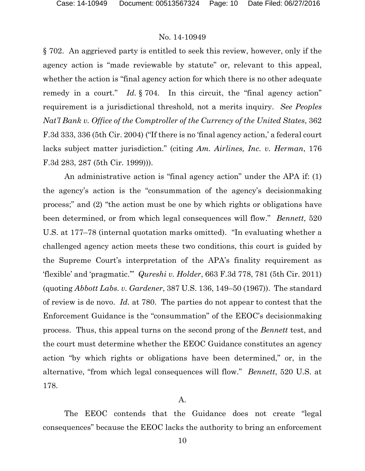§ 702. An aggrieved party is entitled to seek this review, however, only if the agency action is "made reviewable by statute" or, relevant to this appeal, whether the action is "final agency action for which there is no other adequate remedy in a court." *Id.* § 704. In this circuit, the "final agency action" requirement is a jurisdictional threshold, not a merits inquiry. *See Peoples Nat'l Bank v. Office of the Comptroller of the Currency of the United States*, 362 F.3d 333, 336 (5th Cir. 2004) ("If there is no 'final agency action,' a federal court lacks subject matter jurisdiction." (citing *Am. Airlines, Inc. v. Herman*, 176 F.3d 283, 287 (5th Cir. 1999))).

An administrative action is "final agency action" under the APA if: (1) the agency's action is the "consummation of the agency's decisionmaking process;" and (2) "the action must be one by which rights or obligations have been determined, or from which legal consequences will flow." *Bennett*, 520 U.S. at 177–78 (internal quotation marks omitted). "In evaluating whether a challenged agency action meets these two conditions, this court is guided by the Supreme Court's interpretation of the APA's finality requirement as 'flexible' and 'pragmatic.'" *Qureshi v. Holder*, 663 F.3d 778, 781 (5th Cir. 2011) (quoting *Abbott Labs. v. Gardener*, 387 U.S. 136, 149–50 (1967)). The standard of review is de novo. *Id.* at 780. The parties do not appear to contest that the Enforcement Guidance is the "consummation" of the EEOC's decisionmaking process. Thus, this appeal turns on the second prong of the *Bennett* test, and the court must determine whether the EEOC Guidance constitutes an agency action "by which rights or obligations have been determined," or, in the alternative, "from which legal consequences will flow." *Bennett*, 520 U.S. at 178.

#### A.

The EEOC contends that the Guidance does not create "legal consequences" because the EEOC lacks the authority to bring an enforcement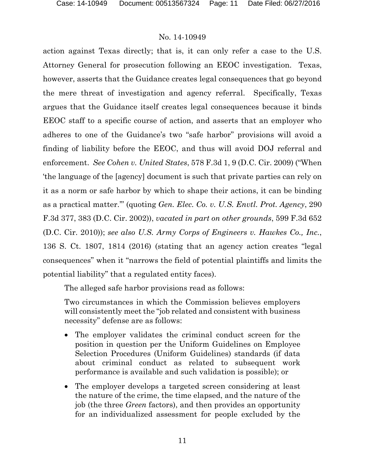action against Texas directly; that is, it can only refer a case to the U.S. Attorney General for prosecution following an EEOC investigation. Texas, however, asserts that the Guidance creates legal consequences that go beyond the mere threat of investigation and agency referral. Specifically, Texas argues that the Guidance itself creates legal consequences because it binds EEOC staff to a specific course of action, and asserts that an employer who adheres to one of the Guidance's two "safe harbor" provisions will avoid a finding of liability before the EEOC, and thus will avoid DOJ referral and enforcement. *See Cohen v. United States*, 578 F.3d 1, 9 (D.C. Cir. 2009) ("When 'the language of the [agency] document is such that private parties can rely on it as a norm or safe harbor by which to shape their actions, it can be binding as a practical matter.'" (quoting *Gen. Elec. Co. v. U.S. Envtl. Prot. Agency*, 290 F.3d 377, 383 (D.C. Cir. 2002)), *vacated in part on other grounds*, 599 F.3d 652 (D.C. Cir. 2010)); *see also U.S. Army Corps of Engineers v. Hawkes Co., Inc.*, 136 S. Ct. 1807, 1814 (2016) (stating that an agency action creates "legal consequences" when it "narrows the field of potential plaintiffs and limits the potential liability" that a regulated entity faces).

The alleged safe harbor provisions read as follows:

Two circumstances in which the Commission believes employers will consistently meet the "job related and consistent with business necessity" defense are as follows:

- The employer validates the criminal conduct screen for the position in question per the Uniform Guidelines on Employee Selection Procedures (Uniform Guidelines) standards (if data about criminal conduct as related to subsequent work performance is available and such validation is possible); or
- The employer develops a targeted screen considering at least the nature of the crime, the time elapsed, and the nature of the job (the three *Green* factors), and then provides an opportunity for an individualized assessment for people excluded by the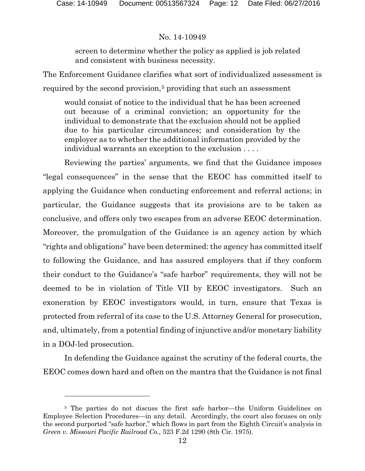## No. 14-10949

screen to determine whether the policy as applied is job related and consistent with business necessity.

The Enforcement Guidance clarifies what sort of individualized assessment is required by the second provision,<sup>[5](#page-11-0)</sup> providing that such an assessment

would consist of notice to the individual that he has been screened out because of a criminal conviction; an opportunity for the individual to demonstrate that the exclusion should not be applied due to his particular circumstances; and consideration by the employer as to whether the additional information provided by the individual warrants an exception to the exclusion . . . .

Reviewing the parties' arguments, we find that the Guidance imposes "legal consequences" in the sense that the EEOC has committed itself to applying the Guidance when conducting enforcement and referral actions; in particular, the Guidance suggests that its provisions are to be taken as conclusive, and offers only two escapes from an adverse EEOC determination. Moreover, the promulgation of the Guidance is an agency action by which "rights and obligations" have been determined: the agency has committed itself to following the Guidance, and has assured employers that if they conform their conduct to the Guidance's "safe harbor" requirements, they will not be deemed to be in violation of Title VII by EEOC investigators. Such an exoneration by EEOC investigators would, in turn, ensure that Texas is protected from referral of its case to the U.S. Attorney General for prosecution, and, ultimately, from a potential finding of injunctive and/or monetary liability in a DOJ-led prosecution.

In defending the Guidance against the scrutiny of the federal courts, the EEOC comes down hard and often on the mantra that the Guidance is not final

<span id="page-11-0"></span><sup>5</sup> The parties do not discuss the first safe harbor—the Uniform Guidelines on Employee Selection Procedures—in any detail. Accordingly, the court also focuses on only the second purported "safe harbor," which flows in part from the Eighth Circuit's analysis in *Green v. Missouri Pacific Railroad Co.*, 523 F.2d 1290 (8th Cir. 1975).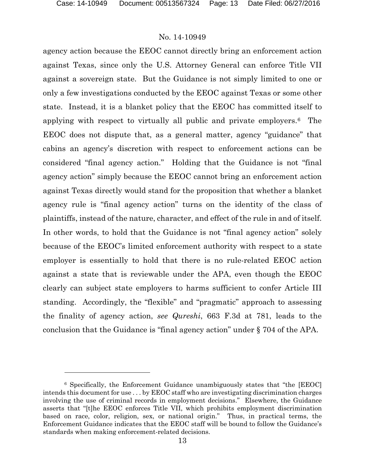#### No. 14-10949

agency action because the EEOC cannot directly bring an enforcement action against Texas, since only the U.S. Attorney General can enforce Title VII against a sovereign state. But the Guidance is not simply limited to one or only a few investigations conducted by the EEOC against Texas or some other state. Instead, it is a blanket policy that the EEOC has committed itself to applying with respect to virtually all public and private employers.[6](#page-12-0) The EEOC does not dispute that, as a general matter, agency "guidance" that cabins an agency's discretion with respect to enforcement actions can be considered "final agency action." Holding that the Guidance is not "final agency action" simply because the EEOC cannot bring an enforcement action against Texas directly would stand for the proposition that whether a blanket agency rule is "final agency action" turns on the identity of the class of plaintiffs, instead of the nature, character, and effect of the rule in and of itself. In other words, to hold that the Guidance is not "final agency action" solely because of the EEOC's limited enforcement authority with respect to a state employer is essentially to hold that there is no rule-related EEOC action against a state that is reviewable under the APA, even though the EEOC clearly can subject state employers to harms sufficient to confer Article III standing. Accordingly, the "flexible" and "pragmatic" approach to assessing the finality of agency action, *see Qureshi*, 663 F.3d at 781, leads to the conclusion that the Guidance is "final agency action" under § 704 of the APA.

<span id="page-12-0"></span><sup>6</sup> Specifically, the Enforcement Guidance unambiguously states that "the [EEOC] intends this document for use . . . by EEOC staff who are investigating discrimination charges involving the use of criminal records in employment decisions." Elsewhere, the Guidance asserts that "[t]he EEOC enforces Title VII, which prohibits employment discrimination based on race, color, religion, sex, or national origin." Thus, in practical terms, the Enforcement Guidance indicates that the EEOC staff will be bound to follow the Guidance's standards when making enforcement-related decisions.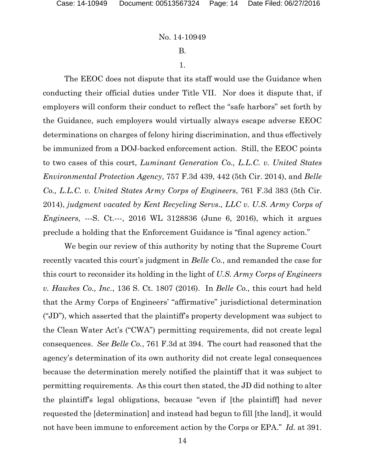B.

#### 1.

The EEOC does not dispute that its staff would use the Guidance when conducting their official duties under Title VII. Nor does it dispute that, if employers will conform their conduct to reflect the "safe harbors" set forth by the Guidance, such employers would virtually always escape adverse EEOC determinations on charges of felony hiring discrimination, and thus effectively be immunized from a DOJ-backed enforcement action. Still, the EEOC points to two cases of this court, *Luminant Generation Co., L.L.C. v. United States Environmental Protection Agency*, 757 F.3d 439, 442 (5th Cir. 2014), and *Belle Co., L.L.C. v. United States Army Corps of Engineers*, 761 F.3d 383 (5th Cir. 2014), *judgment vacated by Kent Recycling Servs., LLC v. U.S. Army Corps of Engineers*, ---S. Ct.---, 2016 WL 3128836 (June 6, 2016), which it argues preclude a holding that the Enforcement Guidance is "final agency action."

We begin our review of this authority by noting that the Supreme Court recently vacated this court's judgment in *Belle Co.*, and remanded the case for this court to reconsider its holding in the light of *U.S. Army Corps of Engineers v. Hawkes Co., Inc.*, 136 S. Ct. 1807 (2016). In *Belle Co.,* this court had held that the Army Corps of Engineers' "affirmative" jurisdictional determination ("JD"), which asserted that the plaintiff's property development was subject to the Clean Water Act's ("CWA") permitting requirements, did not create legal consequences. *See Belle Co.*, 761 F.3d at 394. The court had reasoned that the agency's determination of its own authority did not create legal consequences because the determination merely notified the plaintiff that it was subject to permitting requirements. As this court then stated, the JD did nothing to alter the plaintiff's legal obligations, because "even if [the plaintiff] had never requested the [determination] and instead had begun to fill [the land], it would not have been immune to enforcement action by the Corps or EPA." *Id.* at 391.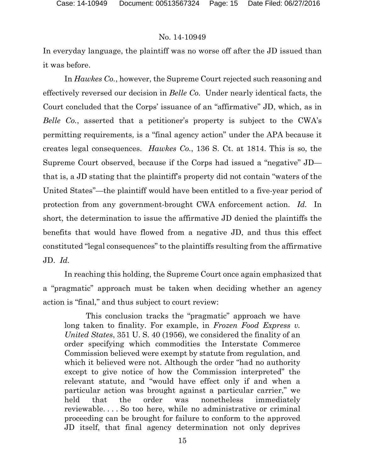In everyday language, the plaintiff was no worse off after the JD issued than it was before.

In *Hawkes Co.*, however, the Supreme Court rejected such reasoning and effectively reversed our decision in *Belle Co.* Under nearly identical facts, the Court concluded that the Corps' issuance of an "affirmative" JD, which, as in *Belle Co.*, asserted that a petitioner's property is subject to the CWA's permitting requirements, is a "final agency action" under the APA because it creates legal consequences. *Hawkes Co.*, 136 S. Ct. at 1814. This is so, the Supreme Court observed, because if the Corps had issued a "negative" JD that is, a JD stating that the plaintiff's property did not contain "waters of the United States"—the plaintiff would have been entitled to a five-year period of protection from any government-brought CWA enforcement action. *Id.* In short, the determination to issue the affirmative JD denied the plaintiffs the benefits that would have flowed from a negative JD, and thus this effect constituted "legal consequences" to the plaintiffs resulting from the affirmative JD. *Id.*

In reaching this holding, the Supreme Court once again emphasized that a "pragmatic" approach must be taken when deciding whether an agency action is "final," and thus subject to court review:

This conclusion tracks the "pragmatic" approach we have long taken to finality. For example, in *Frozen Food Express v. United States*, 351 U. S. 40 (1956), we considered the finality of an order specifying which commodities the Interstate Commerce Commission believed were exempt by statute from regulation, and which it believed were not. Although the order "had no authority except to give notice of how the Commission interpreted" the relevant statute, and "would have effect only if and when a particular action was brought against a particular carrier," we held that the order was nonetheless immediately reviewable. . . . So too here, while no administrative or criminal proceeding can be brought for failure to conform to the approved JD itself, that final agency determination not only deprives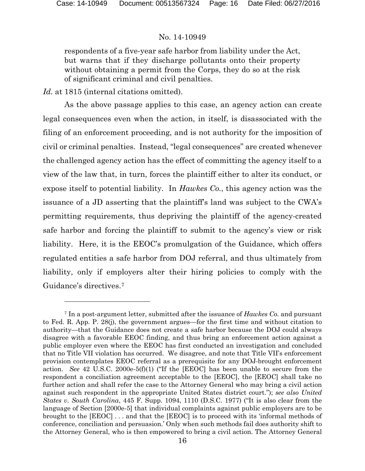l

## No. 14-10949

respondents of a five-year safe harbor from liability under the Act, but warns that if they discharge pollutants onto their property without obtaining a permit from the Corps, they do so at the risk of significant criminal and civil penalties.

*Id.* at 1815 (internal citations omitted).

As the above passage applies to this case, an agency action can create legal consequences even when the action, in itself, is disassociated with the filing of an enforcement proceeding, and is not authority for the imposition of civil or criminal penalties. Instead, "legal consequences" are created whenever the challenged agency action has the effect of committing the agency itself to a view of the law that, in turn, forces the plaintiff either to alter its conduct, or expose itself to potential liability. In *Hawkes Co.*, this agency action was the issuance of a JD asserting that the plaintiff's land was subject to the CWA's permitting requirements, thus depriving the plaintiff of the agency-created safe harbor and forcing the plaintiff to submit to the agency's view or risk liability. Here, it is the EEOC's promulgation of the Guidance, which offers regulated entities a safe harbor from DOJ referral, and thus ultimately from liability, only if employers alter their hiring policies to comply with the Guidance's directives.[7](#page-15-0)

<span id="page-15-0"></span><sup>7</sup> In a post-argument letter, submitted after the issuance of *Hawkes Co.* and pursuant to Fed. R. App. P. 28(j), the government argues—for the first time and without citation to authority—that the Guidance does not create a safe harbor because the DOJ could always disagree with a favorable EEOC finding, and thus bring an enforcement action against a public employer even where the EEOC has first conducted an investigation and concluded that no Title VII violation has occurred. We disagree, and note that Title VII's enforcement provision contemplates EEOC referral as a prerequisite for any DOJ-brought enforcement action. *See* 42 U.S.C. 2000e-5(f)(1) ("If the [EEOC] has been unable to secure from the respondent a conciliation agreement acceptable to the [EEOC], the [EEOC] shall take no further action and shall refer the case to the Attorney General who may bring a civil action against such respondent in the appropriate United States district court."); *see also United States v. South Carolina*, 445 F. Supp. 1094, 1110 (D.S.C. 1977) ("It is also clear from the language of Section [2000e-5] that individual complaints against public employers are to be brought to the [EEOC] . . . and that the [EEOC] is to proceed with its 'informal methods of conference, conciliation and persuasion.' Only when such methods fail does authority shift to the Attorney General, who is then empowered to bring a civil action. The Attorney General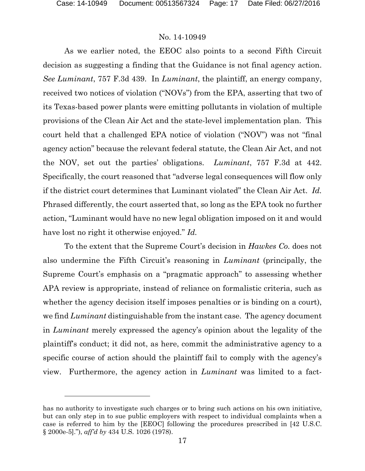### No. 14-10949

As we earlier noted, the EEOC also points to a second Fifth Circuit decision as suggesting a finding that the Guidance is not final agency action. *See Luminant*, 757 F.3d 439. In *Luminant*, the plaintiff, an energy company, received two notices of violation ("NOVs") from the EPA, asserting that two of its Texas-based power plants were emitting pollutants in violation of multiple provisions of the Clean Air Act and the state-level implementation plan. This court held that a challenged EPA notice of violation ("NOV") was not "final agency action" because the relevant federal statute, the Clean Air Act, and not the NOV, set out the parties' obligations. *Luminant*, 757 F.3d at 442. Specifically, the court reasoned that "adverse legal consequences will flow only if the district court determines that Luminant violated" the Clean Air Act. *Id.* Phrased differently, the court asserted that, so long as the EPA took no further action, "Luminant would have no new legal obligation imposed on it and would have lost no right it otherwise enjoyed." *Id.*

To the extent that the Supreme Court's decision in *Hawkes Co.* does not also undermine the Fifth Circuit's reasoning in *Luminant* (principally, the Supreme Court's emphasis on a "pragmatic approach" to assessing whether APA review is appropriate, instead of reliance on formalistic criteria, such as whether the agency decision itself imposes penalties or is binding on a court), we find *Luminant* distinguishable from the instant case. The agency document in *Luminant* merely expressed the agency's opinion about the legality of the plaintiff's conduct; it did not, as here, commit the administrative agency to a specific course of action should the plaintiff fail to comply with the agency's view. Furthermore, the agency action in *Luminant* was limited to a fact-

has no authority to investigate such charges or to bring such actions on his own initiative, but can only step in to sue public employers with respect to individual complaints when a case is referred to him by the [EEOC] following the procedures prescribed in [42 U.S.C. § 2000e-5]."), *aff'd by* 434 U.S. 1026 (1978).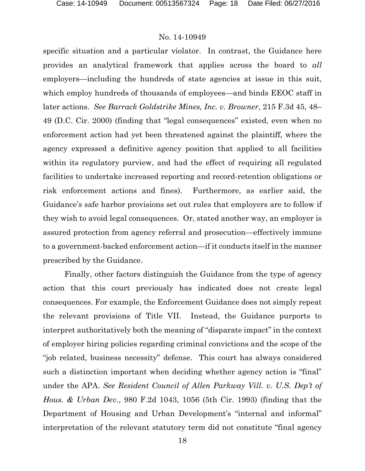specific situation and a particular violator. In contrast, the Guidance here provides an analytical framework that applies across the board to *all*  employers—including the hundreds of state agencies at issue in this suit, which employ hundreds of thousands of employees—and binds EEOC staff in later actions. *See Barrack Goldstrike Mines, Inc. v. Browner*, 215 F.3d 45, 48– 49 (D.C. Cir. 2000) (finding that "legal consequences" existed, even when no enforcement action had yet been threatened against the plaintiff, where the agency expressed a definitive agency position that applied to all facilities within its regulatory purview, and had the effect of requiring all regulated facilities to undertake increased reporting and record-retention obligations or risk enforcement actions and fines). Furthermore, as earlier said, the Guidance's safe harbor provisions set out rules that employers are to follow if they wish to avoid legal consequences. Or, stated another way, an employer is assured protection from agency referral and prosecution—effectively immune to a government-backed enforcement action—if it conducts itself in the manner prescribed by the Guidance.

Finally, other factors distinguish the Guidance from the type of agency action that this court previously has indicated does not create legal consequences. For example, the Enforcement Guidance does not simply repeat the relevant provisions of Title VII. Instead, the Guidance purports to interpret authoritatively both the meaning of "disparate impact" in the context of employer hiring policies regarding criminal convictions and the scope of the "job related, business necessity" defense. This court has always considered such a distinction important when deciding whether agency action is "final" under the APA. *See Resident Council of Allen Parkway Vill. v. U.S. Dep't of Hous. & Urban Dev.*, 980 F.2d 1043, 1056 (5th Cir. 1993) (finding that the Department of Housing and Urban Development's "internal and informal" interpretation of the relevant statutory term did not constitute "final agency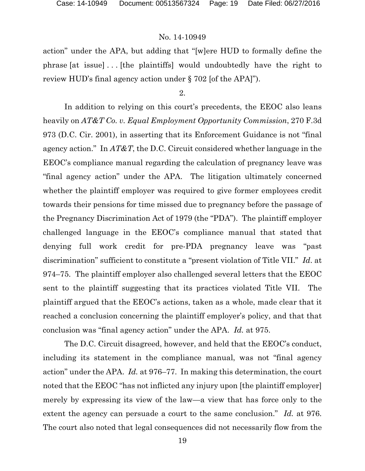action" under the APA, but adding that "[w]ere HUD to formally define the phrase [at issue] . . . [the plaintiffs] would undoubtedly have the right to review HUD's final agency action under § 702 [of the APA]").

2.

In addition to relying on this court's precedents, the EEOC also leans heavily on *AT&T Co. v. Equal Employment Opportunity Commission*, 270 F.3d 973 (D.C. Cir. 2001), in asserting that its Enforcement Guidance is not "final agency action." In *AT&T*, the D.C. Circuit considered whether language in the EEOC's compliance manual regarding the calculation of pregnancy leave was "final agency action" under the APA. The litigation ultimately concerned whether the plaintiff employer was required to give former employees credit towards their pensions for time missed due to pregnancy before the passage of the Pregnancy Discrimination Act of 1979 (the "PDA"). The plaintiff employer challenged language in the EEOC's compliance manual that stated that denying full work credit for pre-PDA pregnancy leave was "past discrimination" sufficient to constitute a "present violation of Title VII." *Id*. at 974–75. The plaintiff employer also challenged several letters that the EEOC sent to the plaintiff suggesting that its practices violated Title VII. The plaintiff argued that the EEOC's actions, taken as a whole, made clear that it reached a conclusion concerning the plaintiff employer's policy, and that that conclusion was "final agency action" under the APA. *Id.* at 975.

The D.C. Circuit disagreed, however, and held that the EEOC's conduct, including its statement in the compliance manual, was not "final agency action" under the APA. *Id.* at 976–77. In making this determination, the court noted that the EEOC "has not inflicted any injury upon [the plaintiff employer] merely by expressing its view of the law—a view that has force only to the extent the agency can persuade a court to the same conclusion." *Id.* at 976. The court also noted that legal consequences did not necessarily flow from the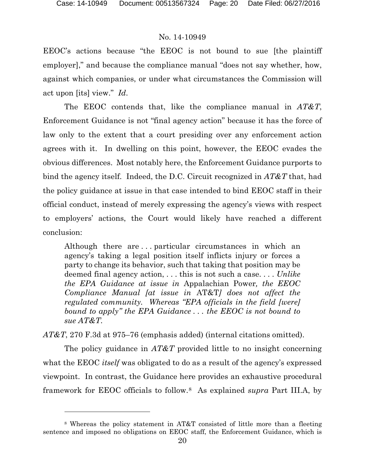l

## No. 14-10949

EEOC's actions because "the EEOC is not bound to sue [the plaintiff employer]," and because the compliance manual "does not say whether, how, against which companies, or under what circumstances the Commission will act upon [its] view." *Id*.

The EEOC contends that, like the compliance manual in *AT&T*, Enforcement Guidance is not "final agency action" because it has the force of law only to the extent that a court presiding over any enforcement action agrees with it. In dwelling on this point, however, the EEOC evades the obvious differences. Most notably here, the Enforcement Guidance purports to bind the agency itself. Indeed, the D.C. Circuit recognized in *AT&T* that, had the policy guidance at issue in that case intended to bind EEOC staff in their official conduct, instead of merely expressing the agency's views with respect to employers' actions, the Court would likely have reached a different conclusion:

Although there are . . . particular circumstances in which an agency's taking a legal position itself inflicts injury or forces a party to change its behavior, such that taking that position may be deemed final agency action, . . . this is not such a case. . . . *Unlike the EPA Guidance at issue in* Appalachian Power*, the EEOC Compliance Manual [at issue in* AT&T*] does not affect the regulated community. Whereas "EPA officials in the field [were] bound to apply" the EPA Guidance . . . the EEOC is not bound to sue AT&T.*

*AT&T*, 270 F.3d at 975–76 (emphasis added) (internal citations omitted).

The policy guidance in *AT&T* provided little to no insight concerning what the EEOC *itself* was obligated to do as a result of the agency's expressed viewpoint. In contrast, the Guidance here provides an exhaustive procedural framework for EEOC officials to follow.[8](#page-19-0) As explained *supra* Part III.A, by

<span id="page-19-0"></span><sup>8</sup> Whereas the policy statement in AT&T consisted of little more than a fleeting sentence and imposed no obligations on EEOC staff, the Enforcement Guidance, which is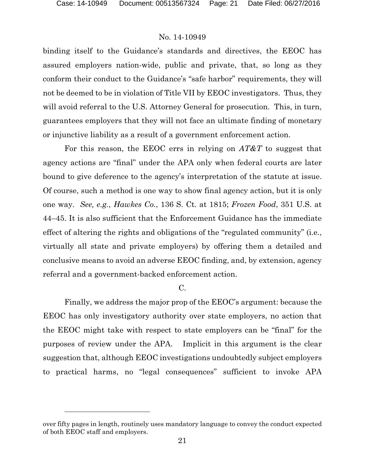l

### No. 14-10949

binding itself to the Guidance's standards and directives, the EEOC has assured employers nation-wide, public and private, that, so long as they conform their conduct to the Guidance's "safe harbor" requirements, they will not be deemed to be in violation of Title VII by EEOC investigators. Thus, they will avoid referral to the U.S. Attorney General for prosecution. This, in turn, guarantees employers that they will not face an ultimate finding of monetary or injunctive liability as a result of a government enforcement action.

For this reason, the EEOC errs in relying on *AT&T* to suggest that agency actions are "final" under the APA only when federal courts are later bound to give deference to the agency's interpretation of the statute at issue. Of course, such a method is one way to show final agency action, but it is only one way. *See, e.g.*, *Hawkes Co.*, 136 S. Ct. at 1815; *Frozen Food*, 351 U.S. at 44–45. It is also sufficient that the Enforcement Guidance has the immediate effect of altering the rights and obligations of the "regulated community" (i.e., virtually all state and private employers) by offering them a detailed and conclusive means to avoid an adverse EEOC finding, and, by extension, agency referral and a government-backed enforcement action.

### C.

Finally, we address the major prop of the EEOC's argument: because the EEOC has only investigatory authority over state employers, no action that the EEOC might take with respect to state employers can be "final" for the purposes of review under the APA. Implicit in this argument is the clear suggestion that, although EEOC investigations undoubtedly subject employers to practical harms, no "legal consequences" sufficient to invoke APA

over fifty pages in length, routinely uses mandatory language to convey the conduct expected of both EEOC staff and employers.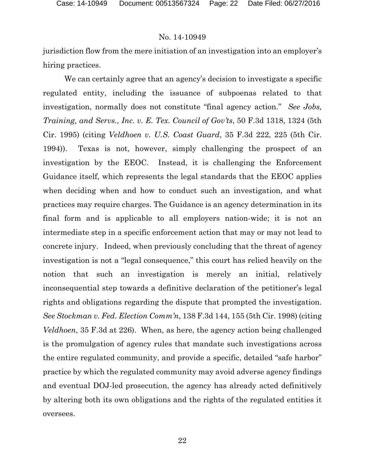jurisdiction flow from the mere initiation of an investigation into an employer's hiring practices.

We can certainly agree that an agency's decision to investigate a specific regulated entity, including the issuance of subpoenas related to that investigation, normally does not constitute "final agency action." *See Jobs, Training, and Servs., Inc. v. E. Tex. Council of Gov'ts*, 50 F.3d 1318, 1324 (5th Cir. 1995) (citing *Veldhoen v. U.S. Coast Guard*, 35 F.3d 222, 225 (5th Cir. 1994)). Texas is not, however, simply challenging the prospect of an investigation by the EEOC. Instead, it is challenging the Enforcement Guidance itself, which represents the legal standards that the EEOC applies when deciding when and how to conduct such an investigation, and what practices may require charges. The Guidance is an agency determination in its final form and is applicable to all employers nation-wide; it is not an intermediate step in a specific enforcement action that may or may not lead to concrete injury. Indeed, when previously concluding that the threat of agency investigation is not a "legal consequence," this court has relied heavily on the notion that such an investigation is merely an initial, relatively inconsequential step towards a definitive declaration of the petitioner's legal rights and obligations regarding the dispute that prompted the investigation. *See Stockman v. Fed. Election Comm'n*, 138 F.3d 144, 155 (5th Cir. 1998) (citing *Veldhoen*, 35 F.3d at 226). When, as here, the agency action being challenged is the promulgation of agency rules that mandate such investigations across the entire regulated community, and provide a specific, detailed "safe harbor" practice by which the regulated community may avoid adverse agency findings and eventual DOJ-led prosecution, the agency has already acted definitively by altering both its own obligations and the rights of the regulated entities it oversees.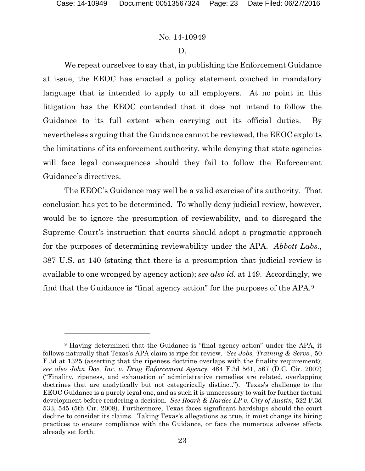## No. 14-10949

### D.

We repeat ourselves to say that, in publishing the Enforcement Guidance at issue, the EEOC has enacted a policy statement couched in mandatory language that is intended to apply to all employers. At no point in this litigation has the EEOC contended that it does not intend to follow the Guidance to its full extent when carrying out its official duties. By nevertheless arguing that the Guidance cannot be reviewed, the EEOC exploits the limitations of its enforcement authority, while denying that state agencies will face legal consequences should they fail to follow the Enforcement Guidance's directives.

The EEOC's Guidance may well be a valid exercise of its authority. That conclusion has yet to be determined. To wholly deny judicial review, however, would be to ignore the presumption of reviewability, and to disregard the Supreme Court's instruction that courts should adopt a pragmatic approach for the purposes of determining reviewability under the APA. *Abbott Labs.*, 387 U.S. at 140 (stating that there is a presumption that judicial review is available to one wronged by agency action); *see also id.* at 149. Accordingly, we find that the Guidance is "final agency action" for the purposes of the APA.[9](#page-22-0)

<span id="page-22-0"></span><sup>9</sup> Having determined that the Guidance is "final agency action" under the APA, it follows naturally that Texas's APA claim is ripe for review. *See Jobs, Training & Servs*., 50 F.3d at 1325 (asserting that the ripeness doctrine overlaps with the finality requirement); *see also John Doe, Inc. v. Drug Enforcement Agency*, 484 F.3d 561, 567 (D.C. Cir. 2007) ("Finality, ripeness, and exhaustion of administrative remedies are related, overlapping doctrines that are analytically but not categorically distinct."). Texas's challenge to the EEOC Guidance is a purely legal one, and as such it is unnecessary to wait for further factual development before rendering a decision. *See Roark & Hardee LP v. City of Austin*, 522 F.3d 533, 545 (5th Cir. 2008). Furthermore, Texas faces significant hardships should the court decline to consider its claims. Taking Texas's allegations as true, it must change its hiring practices to ensure compliance with the Guidance, or face the numerous adverse effects already set forth.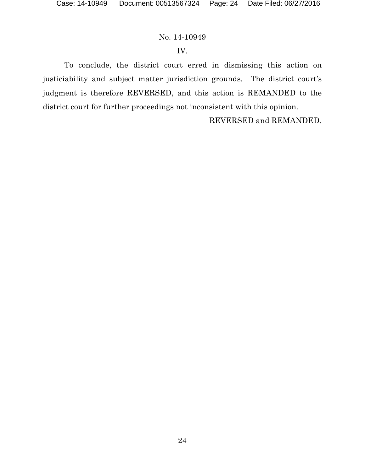## IV.

To conclude, the district court erred in dismissing this action on justiciability and subject matter jurisdiction grounds. The district court's judgment is therefore REVERSED, and this action is REMANDED to the district court for further proceedings not inconsistent with this opinion.

REVERSED and REMANDED.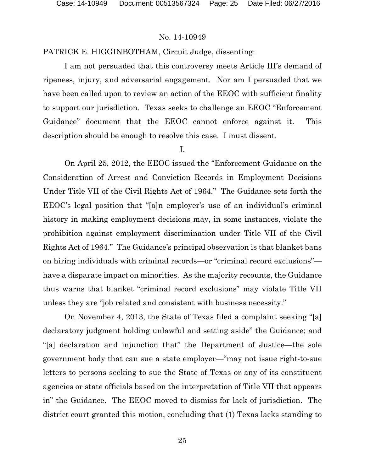### PATRICK E. HIGGINBOTHAM, Circuit Judge, dissenting:

I am not persuaded that this controversy meets Article III's demand of ripeness, injury, and adversarial engagement. Nor am I persuaded that we have been called upon to review an action of the EEOC with sufficient finality to support our jurisdiction. Texas seeks to challenge an EEOC "Enforcement Guidance" document that the EEOC cannot enforce against it. This description should be enough to resolve this case. I must dissent.

#### I.

On April 25, 2012, the EEOC issued the "Enforcement Guidance on the Consideration of Arrest and Conviction Records in Employment Decisions Under Title VII of the Civil Rights Act of 1964." The Guidance sets forth the EEOC's legal position that "[a]n employer's use of an individual's criminal history in making employment decisions may, in some instances, violate the prohibition against employment discrimination under Title VII of the Civil Rights Act of 1964." The Guidance's principal observation is that blanket bans on hiring individuals with criminal records—or "criminal record exclusions" have a disparate impact on minorities. As the majority recounts, the Guidance thus warns that blanket "criminal record exclusions" may violate Title VII unless they are "job related and consistent with business necessity."

On November 4, 2013, the State of Texas filed a complaint seeking "[a] declaratory judgment holding unlawful and setting aside" the Guidance; and "[a] declaration and injunction that" the Department of Justice—the sole government body that can sue a state employer—"may not issue right-to-sue letters to persons seeking to sue the State of Texas or any of its constituent agencies or state officials based on the interpretation of Title VII that appears in" the Guidance. The EEOC moved to dismiss for lack of jurisdiction. The district court granted this motion, concluding that (1) Texas lacks standing to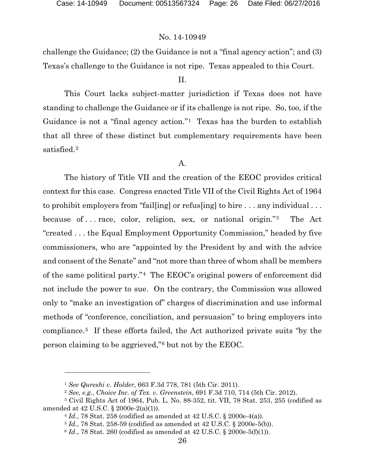challenge the Guidance; (2) the Guidance is not a "final agency action"; and (3) Texas's challenge to the Guidance is not ripe. Texas appealed to this Court.

## II.

This Court lacks subject-matter jurisdiction if Texas does not have standing to challenge the Guidance or if its challenge is not ripe. So, too, if the Guidance is not a "final agency action."<sup>[1](#page-25-0)</sup> Texas has the burden to establish that all three of these distinct but complementary requirements have been satisfied.[2](#page-25-1) 

### A.

The history of Title VII and the creation of the EEOC provides critical context for this case. Congress enacted Title VII of the Civil Rights Act of 1964 to prohibit employers from "fail[ing] or refus[ing] to hire . . . any individual . . . because of . . . race, color, religion, sex, or national origin."[3](#page-25-2) The Act "created . . . the Equal Employment Opportunity Commission," headed by five commissioners, who are "appointed by the President by and with the advice and consent of the Senate" and "not more than three of whom shall be members of the same political party."[4](#page-25-3) The EEOC's original powers of enforcement did not include the power to sue. On the contrary, the Commission was allowed only to "make an investigation of" charges of discrimination and use informal methods of "conference, conciliation, and persuasion" to bring employers into compliance.[5](#page-25-4) If these efforts failed, the Act authorized private suits "by the person claiming to be aggrieved,"[6](#page-25-5) but not by the EEOC.

<sup>1</sup> *See Qureshi v. Holder*, 663 F.3d 778, 781 (5th Cir. 2011).

<sup>2</sup> *See, e.g.*, *Choice Inc. of Tex. v. Greenstein*, 691 F.3d 710, 714 (5th Cir. 2012).

<span id="page-25-5"></span><span id="page-25-4"></span><span id="page-25-3"></span><span id="page-25-2"></span><span id="page-25-1"></span><span id="page-25-0"></span><sup>3</sup> Civil Rights Act of 1964, Pub. L. No. 88-352, tit. VII, 78 Stat. 253, 255 (codified as amended at 42 U.S.C. § 2000e-2(a)(1)).

<sup>4</sup> *Id*., 78 Stat. 258 (codified as amended at 42 U.S.C. § 2000e-4(a)).

<sup>5</sup> *Id*., 78 Stat. 258-59 (codified as amended at 42 U.S.C. § 2000e-5(b)).

 $6$  *Id.*, 78 Stat. 260 (codified as amended at 42 U.S.C. § 2000e-5(f)(1)).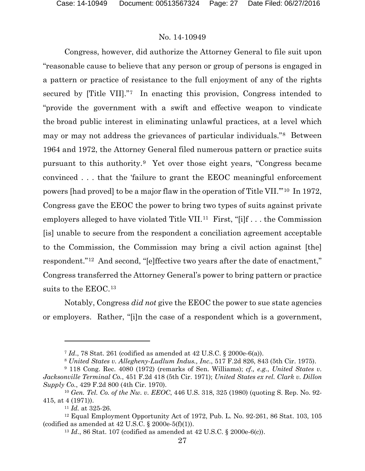Congress, however, did authorize the Attorney General to file suit upon "reasonable cause to believe that any person or group of persons is engaged in a pattern or practice of resistance to the full enjoyment of any of the rights secured by [Title VII]."[7](#page-26-0) In enacting this provision, Congress intended to "provide the government with a swift and effective weapon to vindicate the broad public interest in eliminating unlawful practices, at a level which may or may not address the grievances of particular individuals."[8](#page-26-1) Between 1964 and 1972, the Attorney General filed numerous pattern or practice suits pursuant to this authority.[9](#page-26-2) Yet over those eight years, "Congress became convinced . . . that the 'failure to grant the EEOC meaningful enforcement powers [had proved] to be a major flaw in the operation of Title VII.'"[10](#page-26-3) In 1972, Congress gave the EEOC the power to bring two types of suits against private employers alleged to have violated Title VII.<sup>11</sup> First, "[i]f... the Commission [is] unable to secure from the respondent a conciliation agreement acceptable to the Commission, the Commission may bring a civil action against [the] respondent."[12](#page-26-5) And second, "[e]ffective two years after the date of enactment," Congress transferred the Attorney General's power to bring pattern or practice suits to the EEOC.[13](#page-26-6)

Notably, Congress *did not* give the EEOC the power to sue state agencies or employers. Rather, "[i]n the case of a respondent which is a government,

<sup>7</sup> *Id*., 78 Stat. 261 (codified as amended at 42 U.S.C. § 2000e-6(a)).

<sup>8</sup> *United States v. Allegheny-Ludlum Indus., Inc.*, 517 F.2d 826, 843 (5th Cir. 1975).

<span id="page-26-2"></span><span id="page-26-1"></span><span id="page-26-0"></span><sup>9</sup> 118 Cong. Rec. 4080 (1972) (remarks of Sen. Williams); *cf., e.g.*, *United States v. Jacksonville Terminal Co.*, 451 F.2d 418 (5th Cir. 1971); *United States ex rel. Clark v. Dillon Supply Co.*, 429 F.2d 800 (4th Cir. 1970).

<span id="page-26-3"></span><sup>10</sup> *Gen. Tel. Co. of the Nw. v. EEOC*, 446 U.S. 318, 325 (1980) (quoting S. Rep. No. 92- 415, at 4 (1971)).

<sup>11</sup> *Id.* at 325-26.

<span id="page-26-6"></span><span id="page-26-5"></span><span id="page-26-4"></span> $12$  Equal Employment Opportunity Act of 1972, Pub. L. No. 92-261, 86 Stat. 103, 105 (codified as amended at  $42$  U.S.C.  $\S$  2000e-5(f)(1)).

<sup>13</sup> *Id*., 86 Stat. 107 (codified as amended at 42 U.S.C. § 2000e-6(c)).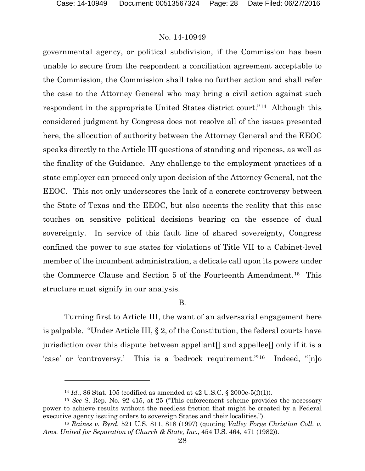### No. 14-10949

governmental agency, or political subdivision, if the Commission has been unable to secure from the respondent a conciliation agreement acceptable to the Commission, the Commission shall take no further action and shall refer the case to the Attorney General who may bring a civil action against such respondent in the appropriate United States district court."[14](#page-27-0) Although this considered judgment by Congress does not resolve all of the issues presented here, the allocution of authority between the Attorney General and the EEOC speaks directly to the Article III questions of standing and ripeness, as well as the finality of the Guidance. Any challenge to the employment practices of a state employer can proceed only upon decision of the Attorney General, not the EEOC. This not only underscores the lack of a concrete controversy between the State of Texas and the EEOC, but also accents the reality that this case touches on sensitive political decisions bearing on the essence of dual sovereignty. In service of this fault line of shared sovereignty, Congress confined the power to sue states for violations of Title VII to a Cabinet-level member of the incumbent administration, a delicate call upon its powers under the Commerce Clause and Section 5 of the Fourteenth Amendment.[15](#page-27-1) This structure must signify in our analysis.

B.

Turning first to Article III, the want of an adversarial engagement here is palpable. "Under Article III, § 2, of the Constitution, the federal courts have jurisdiction over this dispute between appellant[] and appellee[] only if it is a 'case' or 'controversy.' This is a 'bedrock requirement.'"[16](#page-27-2) Indeed, "[n]o

<sup>14</sup> *Id.*, 86 Stat. 105 (codified as amended at 42 U.S.C. § 2000e-5(f)(1)).

<span id="page-27-1"></span><span id="page-27-0"></span><sup>15</sup> *See* S. Rep. No. 92-415, at 25 ("This enforcement scheme provides the necessary power to achieve results without the needless friction that might be created by a Federal executive agency issuing orders to sovereign States and their localities.").

<span id="page-27-2"></span><sup>16</sup> *Raines v. Byrd*, 521 U.S. 811, 818 (1997) (quoting *Valley Forge Christian Coll. v. Ams. United for Separation of Church & State, Inc.*, 454 U.S. 464, 471 (1982)).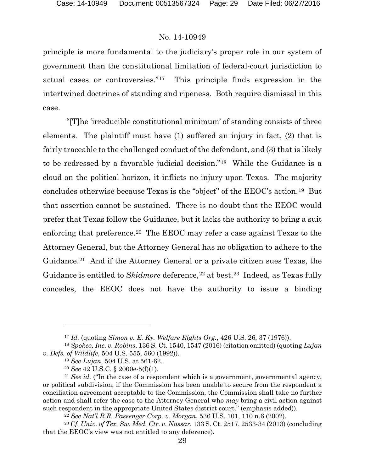principle is more fundamental to the judiciary's proper role in our system of government than the constitutional limitation of federal-court jurisdiction to actual cases or controversies."[17](#page-28-0) This principle finds expression in the intertwined doctrines of standing and ripeness. Both require dismissal in this case.

"[T]he 'irreducible constitutional minimum' of standing consists of three elements. The plaintiff must have (1) suffered an injury in fact, (2) that is fairly traceable to the challenged conduct of the defendant, and (3) that is likely to be redressed by a favorable judicial decision."[18](#page-28-1) While the Guidance is a cloud on the political horizon, it inflicts no injury upon Texas. The majority concludes otherwise because Texas is the "object" of the EEOC's action.[19](#page-28-2) But that assertion cannot be sustained. There is no doubt that the EEOC would prefer that Texas follow the Guidance, but it lacks the authority to bring a suit enforcing that preference.<sup>[20](#page-28-3)</sup> The EEOC may refer a case against Texas to the Attorney General, but the Attorney General has no obligation to adhere to the Guidance.<sup>21</sup> And if the Attorney General or a private citizen sues Texas, the Guidance is entitled to *Skidmore* deference,<sup>[22](#page-28-5)</sup> at best.<sup>[23](#page-28-6)</sup> Indeed, as Texas fully concedes, the EEOC does not have the authority to issue a binding

<sup>17</sup> *Id.* (quoting *Simon v. E. Ky. Welfare Rights Org.*, 426 U.S. 26, 37 (1976)).

<span id="page-28-1"></span><span id="page-28-0"></span><sup>18</sup> *Spokeo, Inc. v. Robins*, 136 S. Ct. 1540, 1547 (2016) (citation omitted) (quoting *Lujan v. Defs. of Wildlife*, 504 U.S. 555, 560 (1992)).

<sup>19</sup> *See Lujan*, 504 U.S. at 561-62.

<sup>20</sup> *See* 42 U.S.C. § 2000e-5(f)(1).

<span id="page-28-4"></span><span id="page-28-3"></span><span id="page-28-2"></span><sup>21</sup> *See id.* ("In the case of a respondent which is a government, governmental agency, or political subdivision, if the Commission has been unable to secure from the respondent a conciliation agreement acceptable to the Commission, the Commission shall take no further action and shall refer the case to the Attorney General who *may* bring a civil action against such respondent in the appropriate United States district court." (emphasis added)).

<sup>22</sup> *See Nat'l R.R. Passenger Corp. v. Morgan*, 536 U.S. 101, 110 n.6 (2002).

<span id="page-28-6"></span><span id="page-28-5"></span><sup>23</sup> *Cf. Univ. of Tex. Sw. Med. Ctr. v. Nassar*, 133 S. Ct. 2517, 2533-34 (2013) (concluding that the EEOC's view was not entitled to any deference).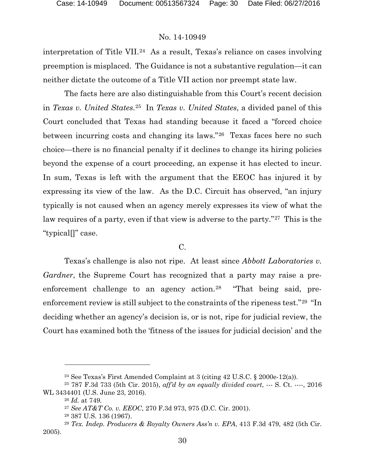interpretation of Title VII.[24](#page-29-0) As a result, Texas's reliance on cases involving preemption is misplaced. The Guidance is not a substantive regulation—it can neither dictate the outcome of a Title VII action nor preempt state law.

The facts here are also distinguishable from this Court's recent decision in *Texas v. United States*.[25](#page-29-1) In *Texas v. United States*, a divided panel of this Court concluded that Texas had standing because it faced a "forced choice between incurring costs and changing its laws."[26](#page-29-2) Texas faces here no such choice—there is no financial penalty if it declines to change its hiring policies beyond the expense of a court proceeding, an expense it has elected to incur. In sum, Texas is left with the argument that the EEOC has injured it by expressing its view of the law. As the D.C. Circuit has observed, "an injury typically is not caused when an agency merely expresses its view of what the law requires of a party, even if that view is adverse to the party."<sup>27</sup> This is the "typical[]" case.

### C.

Texas's challenge is also not ripe. At least since *Abbott Laboratories v. Gardner*, the Supreme Court has recognized that a party may raise a pre-enforcement challenge to an agency action.<sup>[28](#page-29-4)</sup> "That being said, preenforcement review is still subject to the constraints of the ripeness test."[29](#page-29-5) "In deciding whether an agency's decision is, or is not, ripe for judicial review, the Court has examined both the 'fitness of the issues for judicial decision' and the

<sup>24</sup> See Texas's First Amended Complaint at 3 (citing 42 U.S.C. § 2000e-12(a)).

<span id="page-29-2"></span><span id="page-29-1"></span><span id="page-29-0"></span><sup>25</sup> 787 F.3d 733 (5th Cir. 2015), *aff'd by an equally divided court*, --- S. Ct. ----, 2016 WL 3434401 (U.S. June 23, 2016).

<sup>26</sup> *Id.* at 749.

<sup>27</sup> *See AT&T Co. v. EEOC*, 270 F.3d 973, 975 (D.C. Cir. 2001).

<sup>28</sup> 387 U.S. 136 (1967).

<span id="page-29-5"></span><span id="page-29-4"></span><span id="page-29-3"></span><sup>29</sup> *Tex. Indep. Producers & Royalty Owners Ass'n v. EPA*, 413 F.3d 479, 482 (5th Cir. 2005).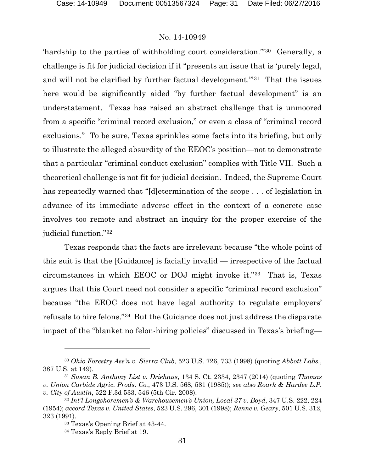'hardship to the parties of withholding court consideration.'"[30](#page-30-0) Generally, a challenge is fit for judicial decision if it "presents an issue that is 'purely legal, and will not be clarified by further factual development."<sup>[31](#page-30-1)</sup> That the issues here would be significantly aided "by further factual development" is an understatement. Texas has raised an abstract challenge that is unmoored from a specific "criminal record exclusion," or even a class of "criminal record exclusions." To be sure, Texas sprinkles some facts into its briefing, but only to illustrate the alleged absurdity of the EEOC's position—not to demonstrate that a particular "criminal conduct exclusion" complies with Title VII. Such a theoretical challenge is not fit for judicial decision. Indeed, the Supreme Court has repeatedly warned that "[d]etermination of the scope . . . of legislation in advance of its immediate adverse effect in the context of a concrete case involves too remote and abstract an inquiry for the proper exercise of the judicial function."[32](#page-30-2)

Texas responds that the facts are irrelevant because "the whole point of this suit is that the [Guidance] is facially invalid — irrespective of the factual circumstances in which EEOC or DOJ might invoke it."[33](#page-30-3) That is, Texas argues that this Court need not consider a specific "criminal record exclusion" because "the EEOC does not have legal authority to regulate employers' refusals to hire felons."[34](#page-30-4) But the Guidance does not just address the disparate impact of the "blanket no felon-hiring policies" discussed in Texas's briefing—

<span id="page-30-0"></span><sup>30</sup> *Ohio Forestry Ass'n v. Sierra Club*, 523 U.S. 726, 733 (1998) (quoting *Abbott Labs.*, 387 U.S. at 149).

<span id="page-30-1"></span><sup>31</sup> *Susan B. Anthony List v. Driehaus*, 134 S. Ct. 2334, 2347 (2014) (quoting *Thomas v. Union Carbide Agric. Prods. Co.*, 473 U.S. 568, 581 (1985)); *see also Roark & Hardee L.P. v. City of Austin*, 522 F.3d 533, 546 (5th Cir. 2008).

<span id="page-30-4"></span><span id="page-30-3"></span><span id="page-30-2"></span><sup>32</sup> *Int'l Longshoremen's & Warehousemen's Union, Local 37 v. Boyd*, 347 U.S. 222, 224 (1954); *accord Texas v. United States*, 523 U.S. 296, 301 (1998); *Renne v. Geary*, 501 U.S. 312, 323 (1991).

<sup>33</sup> Texas's Opening Brief at 43-44. 34 Texas's Reply Brief at 19.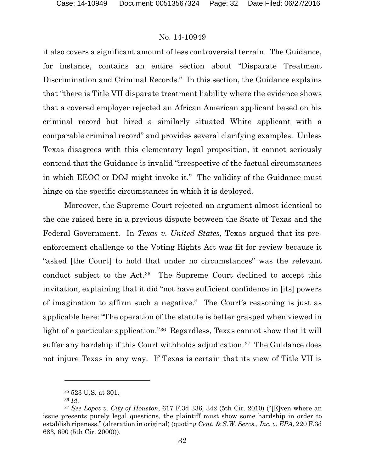it also covers a significant amount of less controversial terrain. The Guidance, for instance, contains an entire section about "Disparate Treatment Discrimination and Criminal Records." In this section, the Guidance explains that "there is Title VII disparate treatment liability where the evidence shows that a covered employer rejected an African American applicant based on his criminal record but hired a similarly situated White applicant with a comparable criminal record" and provides several clarifying examples. Unless Texas disagrees with this elementary legal proposition, it cannot seriously contend that the Guidance is invalid "irrespective of the factual circumstances in which EEOC or DOJ might invoke it." The validity of the Guidance must hinge on the specific circumstances in which it is deployed.

Moreover, the Supreme Court rejected an argument almost identical to the one raised here in a previous dispute between the State of Texas and the Federal Government. In *Texas v. United States*, Texas argued that its preenforcement challenge to the Voting Rights Act was fit for review because it "asked [the Court] to hold that under no circumstances" was the relevant conduct subject to the Act.[35](#page-31-0) The Supreme Court declined to accept this invitation, explaining that it did "not have sufficient confidence in [its] powers of imagination to affirm such a negative." The Court's reasoning is just as applicable here: "The operation of the statute is better grasped when viewed in light of a particular application."[36](#page-31-1) Regardless, Texas cannot show that it will suffer any hardship if this Court withholds adjudication.<sup>37</sup> The Guidance does not injure Texas in any way. If Texas is certain that its view of Title VII is

<sup>35</sup> 523 U.S. at 301.

<sup>36</sup> *Id.*

<span id="page-31-2"></span><span id="page-31-1"></span><span id="page-31-0"></span><sup>37</sup> *See Lopez v. City of Houston*, 617 F.3d 336, 342 (5th Cir. 2010) ("[E]ven where an issue presents purely legal questions, the plaintiff must show some hardship in order to establish ripeness." (alteration in original) (quoting *Cent. & S.W. Servs., Inc. v. EPA*, 220 F.3d 683, 690 (5th Cir. 2000))).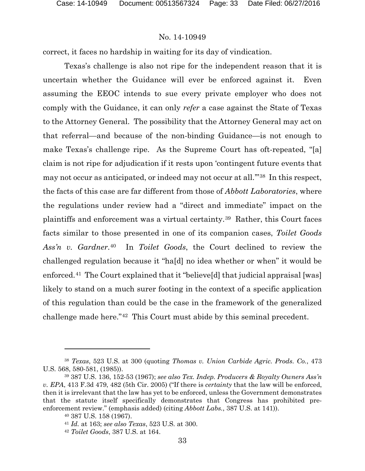correct, it faces no hardship in waiting for its day of vindication.

Texas's challenge is also not ripe for the independent reason that it is uncertain whether the Guidance will ever be enforced against it. Even assuming the EEOC intends to sue every private employer who does not comply with the Guidance, it can only *refer* a case against the State of Texas to the Attorney General. The possibility that the Attorney General may act on that referral—and because of the non-binding Guidance—is not enough to make Texas's challenge ripe. As the Supreme Court has oft-repeated, "[a] claim is not ripe for adjudication if it rests upon 'contingent future events that may not occur as anticipated, or indeed may not occur at all."<sup>[38](#page-32-0)</sup> In this respect, the facts of this case are far different from those of *Abbott Laboratories*, where the regulations under review had a "direct and immediate" impact on the plaintiffs and enforcement was a virtual certainty.[39](#page-32-1) Rather, this Court faces facts similar to those presented in one of its companion cases, *Toilet Goods Ass'n v. Gardner*.[40](#page-32-2) In *Toilet Goods*, the Court declined to review the challenged regulation because it "ha[d] no idea whether or when" it would be enforced.[41](#page-32-3) The Court explained that it "believe[d] that judicial appraisal [was] likely to stand on a much surer footing in the context of a specific application of this regulation than could be the case in the framework of the generalized challenge made here."[42](#page-32-4) This Court must abide by this seminal precedent.

<span id="page-32-0"></span><sup>38</sup> *Texas*, 523 U.S. at 300 (quoting *Thomas v. Union Carbide Agric. Prods. Co.*, 473 U.S. 568, 580-581, (1985)).

<span id="page-32-3"></span><span id="page-32-2"></span><span id="page-32-1"></span><sup>39</sup> 387 U.S. 136, 152-53 (1967); *see also Tex. Indep. Producers & Royalty Owners Ass'n v. EPA*, 413 F.3d 479, 482 (5th Cir. 2005) ("If there is *certainty* that the law will be enforced, then it is irrelevant that the law has yet to be enforced, unless the Government demonstrates that the statute itself specifically demonstrates that Congress has prohibited preenforcement review." (emphasis added) (citing *Abbott Labs.*, 387 U.S. at 141)).

<sup>40</sup> 387 U.S. 158 (1967).

<sup>41</sup> *Id.* at 163; *see also Texas*, 523 U.S. at 300.

<span id="page-32-4"></span><sup>42</sup> *Toilet Goods*, 387 U.S. at 164.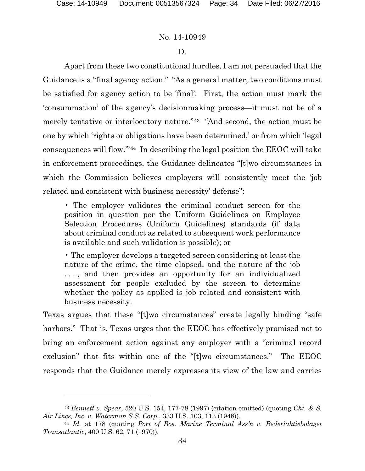### No. 14-10949

### D.

Apart from these two constitutional hurdles, I am not persuaded that the Guidance is a "final agency action." "As a general matter, two conditions must be satisfied for agency action to be 'final': First, the action must mark the 'consummation' of the agency's decisionmaking process—it must not be of a merely tentative or interlocutory nature."[43](#page-33-0) "And second, the action must be one by which 'rights or obligations have been determined,' or from which 'legal consequences will flow.'"[44](#page-33-1) In describing the legal position the EEOC will take in enforcement proceedings, the Guidance delineates "[t]wo circumstances in which the Commission believes employers will consistently meet the 'job related and consistent with business necessity' defense":

• The employer validates the criminal conduct screen for the position in question per the Uniform Guidelines on Employee Selection Procedures (Uniform Guidelines) standards (if data about criminal conduct as related to subsequent work performance is available and such validation is possible); or

• The employer develops a targeted screen considering at least the nature of the crime, the time elapsed, and the nature of the job ..., and then provides an opportunity for an individualized assessment for people excluded by the screen to determine whether the policy as applied is job related and consistent with business necessity.

Texas argues that these "[t]wo circumstances" create legally binding "safe harbors." That is, Texas urges that the EEOC has effectively promised not to bring an enforcement action against any employer with a "criminal record exclusion" that fits within one of the "[t]wo circumstances." The EEOC responds that the Guidance merely expresses its view of the law and carries

<span id="page-33-0"></span><sup>43</sup> *Bennett v. Spear*, 520 U.S. 154, 177-78 (1997) (citation omitted) (quoting *Chi. & S. Air Lines, Inc. v. Waterman S.S. Corp.*, 333 U.S. 103, 113 (1948)).

<span id="page-33-1"></span><sup>44</sup> *Id.* at 178 (quoting *Port of Bos. Marine Terminal Ass'n v. Rederiaktiebolaget Transatlantic*, 400 U.S. 62, 71 (1970)).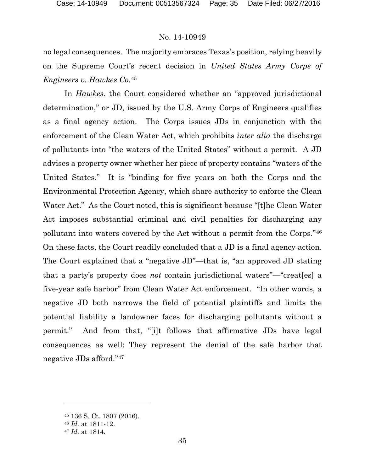no legal consequences. The majority embraces Texas's position, relying heavily on the Supreme Court's recent decision in *United States Army Corps of Engineers v. Hawkes Co.*[45](#page-34-0)

In *Hawkes*, the Court considered whether an "approved jurisdictional determination," or JD, issued by the U.S. Army Corps of Engineers qualifies as a final agency action. The Corps issues JDs in conjunction with the enforcement of the Clean Water Act, which prohibits *inter alia* the discharge of pollutants into "the waters of the United States" without a permit. A JD advises a property owner whether her piece of property contains "waters of the United States." It is "binding for five years on both the Corps and the Environmental Protection Agency, which share authority to enforce the Clean Water Act." As the Court noted, this is significant because "[t]he Clean Water Act imposes substantial criminal and civil penalties for discharging any pollutant into waters covered by the Act without a permit from the Corps."[46](#page-34-1) On these facts, the Court readily concluded that a JD is a final agency action. The Court explained that a "negative JD"—that is, "an approved JD stating that a party's property does *not* contain jurisdictional waters"—"creat[es] a five-year safe harbor" from Clean Water Act enforcement. "In other words, a negative JD both narrows the field of potential plaintiffs and limits the potential liability a landowner faces for discharging pollutants without a permit." And from that, "[i]t follows that affirmative JDs have legal consequences as well: They represent the denial of the safe harbor that negative JDs afford."[47](#page-34-2) 

<span id="page-34-0"></span><sup>45</sup> 136 S. Ct. 1807 (2016).

<span id="page-34-1"></span><sup>46</sup> *Id.* at 1811-12.

<span id="page-34-2"></span><sup>47</sup> *Id.* at 1814.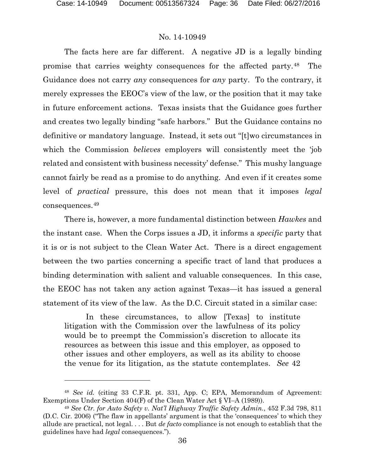### No. 14-10949

The facts here are far different. A negative JD is a legally binding promise that carries weighty consequences for the affected party.[48](#page-35-0) The Guidance does not carry *any* consequences for *any* party. To the contrary, it merely expresses the EEOC's view of the law, or the position that it may take in future enforcement actions. Texas insists that the Guidance goes further and creates two legally binding "safe harbors." But the Guidance contains no definitive or mandatory language. Instead, it sets out "[t]wo circumstances in which the Commission *believes* employers will consistently meet the 'job related and consistent with business necessity' defense." This mushy language cannot fairly be read as a promise to do anything. And even if it creates some level of *practical* pressure, this does not mean that it imposes *legal*  consequences.[49](#page-35-1)

There is, however, a more fundamental distinction between *Hawkes* and the instant case. When the Corps issues a JD, it informs a *specific* party that it is or is not subject to the Clean Water Act. There is a direct engagement between the two parties concerning a specific tract of land that produces a binding determination with salient and valuable consequences. In this case, the EEOC has not taken any action against Texas—it has issued a general statement of its view of the law. As the D.C. Circuit stated in a similar case:

In these circumstances, to allow [Texas] to institute litigation with the Commission over the lawfulness of its policy would be to preempt the Commission's discretion to allocate its resources as between this issue and this employer, as opposed to other issues and other employers, as well as its ability to choose the venue for its litigation, as the statute contemplates. *See* 42

<span id="page-35-0"></span><sup>48</sup> *See id.* (citing 33 C.F.R. pt. 331, App. C; EPA, Memorandum of Agreement: Exemptions Under Section 404(F) of the Clean Water Act § VI–A (1989)).

<span id="page-35-1"></span><sup>49</sup> *See Ctr. for Auto Safety v. Nat'l Highway Traffic Safety Admin.*, 452 F.3d 798, 811 (D.C. Cir. 2006) ("The flaw in appellants' argument is that the 'consequences' to which they allude are practical, not legal. . . . But *de facto* compliance is not enough to establish that the guidelines have had *legal* consequences.").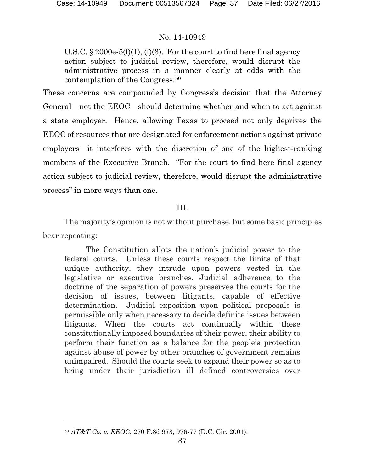U.S.C.  $\S 2000e-5(f)(1)$ ,  $(f)(3)$ . For the court to find here final agency action subject to judicial review, therefore, would disrupt the administrative process in a manner clearly at odds with the contemplation of the Congress.[50](#page-36-0)

These concerns are compounded by Congress's decision that the Attorney General—not the EEOC—should determine whether and when to act against a state employer. Hence, allowing Texas to proceed not only deprives the EEOC of resources that are designated for enforcement actions against private employers—it interferes with the discretion of one of the highest-ranking members of the Executive Branch. "For the court to find here final agency action subject to judicial review, therefore, would disrupt the administrative process" in more ways than one.

## III.

The majority's opinion is not without purchase, but some basic principles bear repeating:

The Constitution allots the nation's judicial power to the federal courts. Unless these courts respect the limits of that unique authority, they intrude upon powers vested in the legislative or executive branches. Judicial adherence to the doctrine of the separation of powers preserves the courts for the decision of issues, between litigants, capable of effective determination. Judicial exposition upon political proposals is permissible only when necessary to decide definite issues between litigants. When the courts act continually within these constitutionally imposed boundaries of their power, their ability to perform their function as a balance for the people's protection against abuse of power by other branches of government remains unimpaired. Should the courts seek to expand their power so as to bring under their jurisdiction ill defined controversies over

l

<span id="page-36-0"></span><sup>50</sup> *AT&T Co. v. EEOC*, 270 F.3d 973, 976-77 (D.C. Cir. 2001).